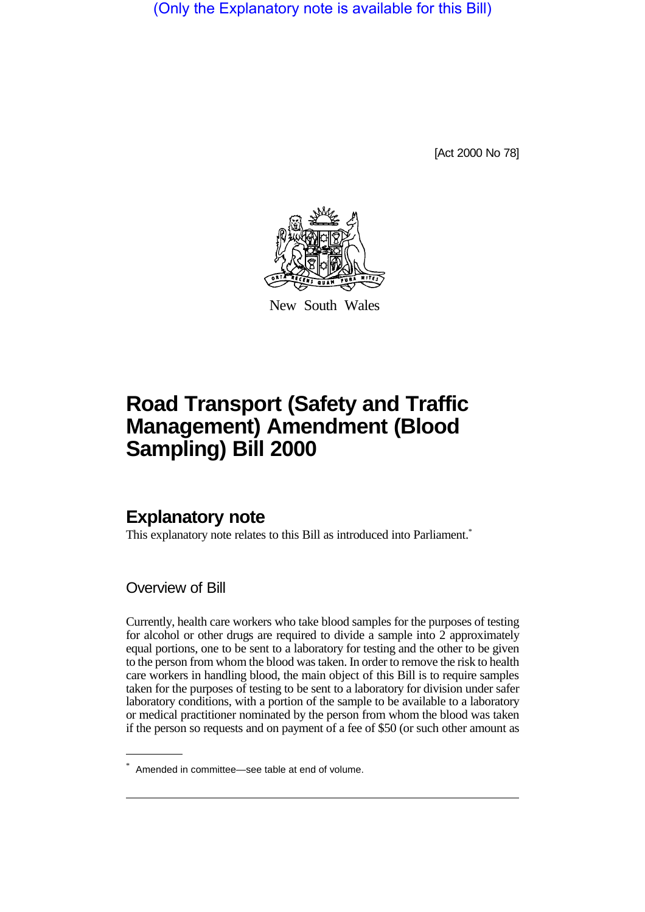(Only the Explanatory note is available for this Bill)

[Act 2000 No 78]



New South Wales

# **Road Transport (Safety and Traffic Management) Amendment (Blood Sampling) Bill 2000**

# **Explanatory note**

This explanatory note relates to this Bill as introduced into Parliament.<sup>\*</sup>

Overview of Bill

Currently, health care workers who take blood samples for the purposes of testing for alcohol or other drugs are required to divide a sample into 2 approximately equal portions, one to be sent to a laboratory for testing and the other to be given to the person from whom the blood was taken. In order to remove the risk to health care workers in handling blood, the main object of this Bill is to require samples taken for the purposes of testing to be sent to a laboratory for division under safer laboratory conditions, with a portion of the sample to be available to a laboratory or medical practitioner nominated by the person from whom the blood was taken if the person so requests and on payment of a fee of \$50 (or such other amount as

<sup>\*</sup> Amended in committee—see table at end of volume.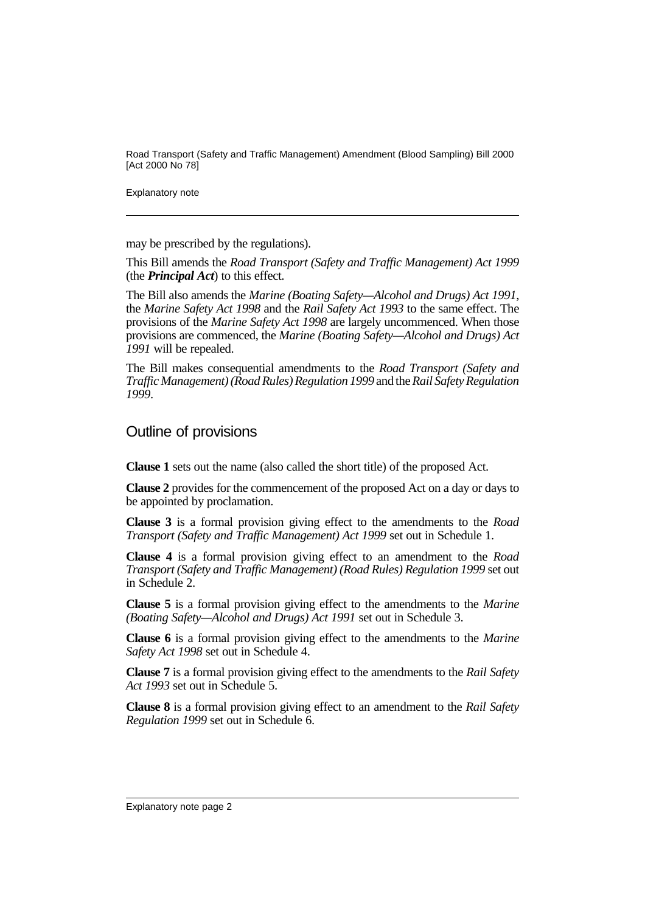Road Transport (Safety and Traffic Management) Amendment (Blood Sampling) Bill 2000 [Act 2000 No 78]

Explanatory note

may be prescribed by the regulations).

This Bill amends the *Road Transport (Safety and Traffic Management) Act 1999* (the *Principal Act*) to this effect.

The Bill also amends the *Marine (Boating Safety—Alcohol and Drugs) Act 1991*, the *Marine Safety Act 1998* and the *Rail Safety Act 1993* to the same effect. The provisions of the *Marine Safety Act 1998* are largely uncommenced. When those provisions are commenced, the *Marine (Boating Safety—Alcohol and Drugs) Act 1991* will be repealed.

The Bill makes consequential amendments to the *Road Transport (Safety and Traffic Management) (Road Rules) Regulation 1999* and the *Rail Safety Regulation 1999*.

# Outline of provisions

**Clause 1** sets out the name (also called the short title) of the proposed Act.

**Clause 2** provides for the commencement of the proposed Act on a day or days to be appointed by proclamation.

**Clause 3** is a formal provision giving effect to the amendments to the *Road Transport (Safety and Traffic Management) Act 1999* set out in Schedule 1.

**Clause 4** is a formal provision giving effect to an amendment to the *Road Transport (Safety and Traffic Management) (Road Rules) Regulation 1999* set out in Schedule 2.

**Clause 5** is a formal provision giving effect to the amendments to the *Marine (Boating Safety—Alcohol and Drugs) Act 1991* set out in Schedule 3.

**Clause 6** is a formal provision giving effect to the amendments to the *Marine Safety Act 1998* set out in Schedule 4.

**Clause 7** is a formal provision giving effect to the amendments to the *Rail Safety Act 1993* set out in Schedule 5.

**Clause 8** is a formal provision giving effect to an amendment to the *Rail Safety Regulation 1999* set out in Schedule 6.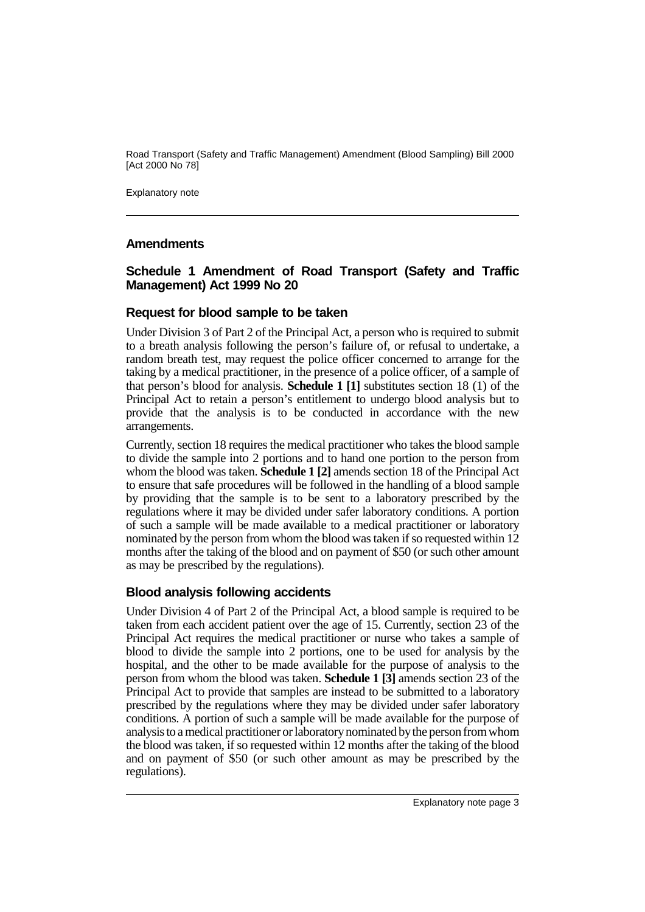Road Transport (Safety and Traffic Management) Amendment (Blood Sampling) Bill 2000 [Act 2000 No 78]

Explanatory note

#### **Amendments**

#### **Schedule 1 Amendment of Road Transport (Safety and Traffic Management) Act 1999 No 20**

#### **Request for blood sample to be taken**

Under Division 3 of Part 2 of the Principal Act, a person who is required to submit to a breath analysis following the person's failure of, or refusal to undertake, a random breath test, may request the police officer concerned to arrange for the taking by a medical practitioner, in the presence of a police officer, of a sample of that person's blood for analysis. **Schedule 1 [1]** substitutes section 18 (1) of the Principal Act to retain a person's entitlement to undergo blood analysis but to provide that the analysis is to be conducted in accordance with the new arrangements.

Currently, section 18 requires the medical practitioner who takes the blood sample to divide the sample into 2 portions and to hand one portion to the person from whom the blood was taken. **Schedule 1 [2]** amends section 18 of the Principal Act to ensure that safe procedures will be followed in the handling of a blood sample by providing that the sample is to be sent to a laboratory prescribed by the regulations where it may be divided under safer laboratory conditions. A portion of such a sample will be made available to a medical practitioner or laboratory nominated by the person from whom the blood was taken if so requested within 12 months after the taking of the blood and on payment of \$50 (or such other amount as may be prescribed by the regulations).

#### **Blood analysis following accidents**

Under Division 4 of Part 2 of the Principal Act, a blood sample is required to be taken from each accident patient over the age of 15. Currently, section 23 of the Principal Act requires the medical practitioner or nurse who takes a sample of blood to divide the sample into 2 portions, one to be used for analysis by the hospital, and the other to be made available for the purpose of analysis to the person from whom the blood was taken. **Schedule 1 [3]** amends section 23 of the Principal Act to provide that samples are instead to be submitted to a laboratory prescribed by the regulations where they may be divided under safer laboratory conditions. A portion of such a sample will be made available for the purpose of analysis to a medical practitioner or laboratory nominated by the person from whom the blood was taken, if so requested within 12 months after the taking of the blood and on payment of \$50 (or such other amount as may be prescribed by the regulations).